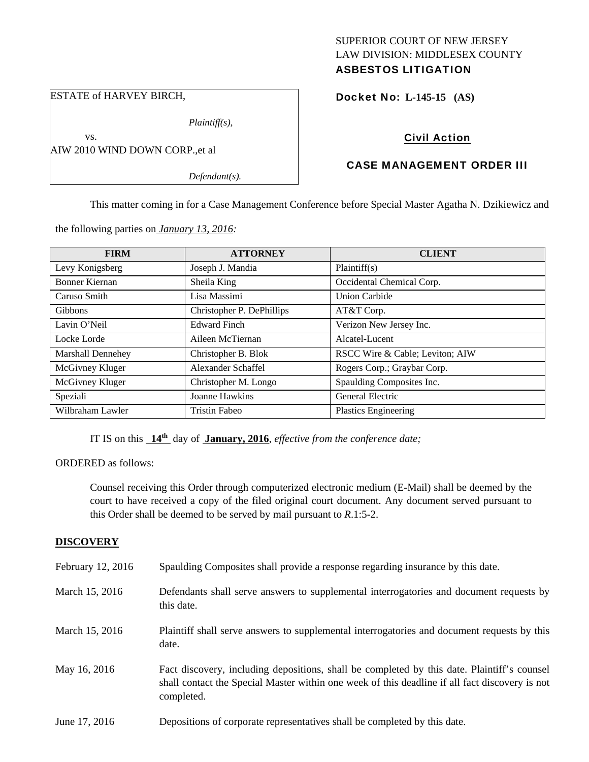## SUPERIOR COURT OF NEW JERSEY LAW DIVISION: MIDDLESEX COUNTY ASBESTOS LITIGATION

ESTATE of HARVEY BIRCH,

vs.

*Plaintiff(s),* 

AIW 2010 WIND DOWN CORP.,et al

*Defendant(s).*

## Docket No: **L-145-15 (AS)**

# Civil Action

# CASE MANAGEMENT ORDER III

This matter coming in for a Case Management Conference before Special Master Agatha N. Dzikiewicz and

the following parties on *January 13, 2016:* 

| <b>FIRM</b>              | <b>ATTORNEY</b>           | <b>CLIENT</b>                   |
|--------------------------|---------------------------|---------------------------------|
| Levy Konigsberg          | Joseph J. Mandia          | Plaintiff(s)                    |
| Bonner Kiernan           | Sheila King               | Occidental Chemical Corp.       |
| Caruso Smith             | Lisa Massimi              | <b>Union Carbide</b>            |
| <b>Gibbons</b>           | Christopher P. DePhillips | AT&T Corp.                      |
| Lavin O'Neil             | <b>Edward Finch</b>       | Verizon New Jersey Inc.         |
| Locke Lorde              | Aileen McTiernan          | Alcatel-Lucent                  |
| <b>Marshall Dennehey</b> | Christopher B. Blok       | RSCC Wire & Cable; Leviton; AIW |
| McGivney Kluger          | Alexander Schaffel        | Rogers Corp.; Graybar Corp.     |
| McGivney Kluger          | Christopher M. Longo      | Spaulding Composites Inc.       |
| Speziali                 | Joanne Hawkins            | General Electric                |
| Wilbraham Lawler         | <b>Tristin Fabeo</b>      | <b>Plastics Engineering</b>     |

IT IS on this **14th** day of **January, 2016**, *effective from the conference date;*

ORDERED as follows:

Counsel receiving this Order through computerized electronic medium (E-Mail) shall be deemed by the court to have received a copy of the filed original court document. Any document served pursuant to this Order shall be deemed to be served by mail pursuant to *R*.1:5-2.

## **DISCOVERY**

| February 12, 2016 | Spaulding Composites shall provide a response regarding insurance by this date.                                                                                                                             |
|-------------------|-------------------------------------------------------------------------------------------------------------------------------------------------------------------------------------------------------------|
| March 15, 2016    | Defendants shall serve answers to supplemental interrogatories and document requests by<br>this date.                                                                                                       |
| March 15, 2016    | Plaintiff shall serve answers to supplemental interrogatories and document requests by this<br>date.                                                                                                        |
| May 16, 2016      | Fact discovery, including depositions, shall be completed by this date. Plaintiff's counsel<br>shall contact the Special Master within one week of this deadline if all fact discovery is not<br>completed. |
| June 17, 2016     | Depositions of corporate representatives shall be completed by this date.                                                                                                                                   |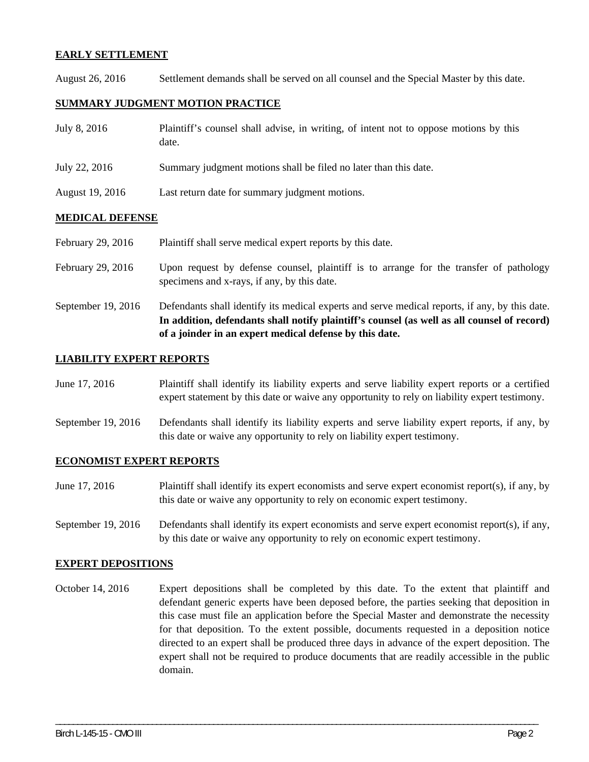## **EARLY SETTLEMENT**

August 26, 2016 Settlement demands shall be served on all counsel and the Special Master by this date.

## **SUMMARY JUDGMENT MOTION PRACTICE**

| July 8, 2016    | Plaintiff's counsel shall advise, in writing, of intent not to oppose motions by this<br>date. |
|-----------------|------------------------------------------------------------------------------------------------|
| July 22, 2016   | Summary judgment motions shall be filed no later than this date.                               |
| August 19, 2016 | Last return date for summary judgment motions.                                                 |

## **MEDICAL DEFENSE**

February 29, 2016 Plaintiff shall serve medical expert reports by this date.

- February 29, 2016 Upon request by defense counsel, plaintiff is to arrange for the transfer of pathology specimens and x-rays, if any, by this date.
- September 19, 2016 Defendants shall identify its medical experts and serve medical reports, if any, by this date. **In addition, defendants shall notify plaintiff's counsel (as well as all counsel of record) of a joinder in an expert medical defense by this date.**

#### **LIABILITY EXPERT REPORTS**

- June 17, 2016 Plaintiff shall identify its liability experts and serve liability expert reports or a certified expert statement by this date or waive any opportunity to rely on liability expert testimony.
- September 19, 2016 Defendants shall identify its liability experts and serve liability expert reports, if any, by this date or waive any opportunity to rely on liability expert testimony.

#### **ECONOMIST EXPERT REPORTS**

- June 17, 2016 Plaintiff shall identify its expert economists and serve expert economist report(s), if any, by this date or waive any opportunity to rely on economic expert testimony.
- September 19, 2016 Defendants shall identify its expert economists and serve expert economist report(s), if any, by this date or waive any opportunity to rely on economic expert testimony.

#### **EXPERT DEPOSITIONS**

October 14, 2016 Expert depositions shall be completed by this date. To the extent that plaintiff and defendant generic experts have been deposed before, the parties seeking that deposition in this case must file an application before the Special Master and demonstrate the necessity for that deposition. To the extent possible, documents requested in a deposition notice directed to an expert shall be produced three days in advance of the expert deposition. The expert shall not be required to produce documents that are readily accessible in the public domain.

\_\_\_\_\_\_\_\_\_\_\_\_\_\_\_\_\_\_\_\_\_\_\_\_\_\_\_\_\_\_\_\_\_\_\_\_\_\_\_\_\_\_\_\_\_\_\_\_\_\_\_\_\_\_\_\_\_\_\_\_\_\_\_\_\_\_\_\_\_\_\_\_\_\_\_\_\_\_\_\_\_\_\_\_\_\_\_\_\_\_\_\_\_\_\_\_\_\_\_\_\_\_\_\_\_\_\_\_\_\_